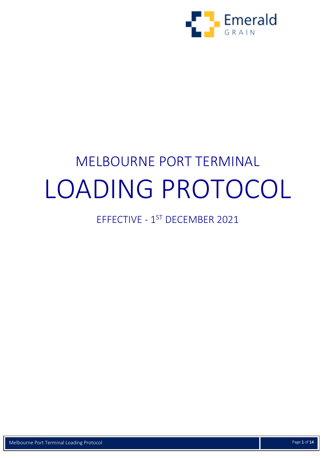

# MELBOURNE PORT TERMINAL LOADING PROTOCOL

## EFFECTIVE - 1<sup>ST</sup> DECEMBER 2021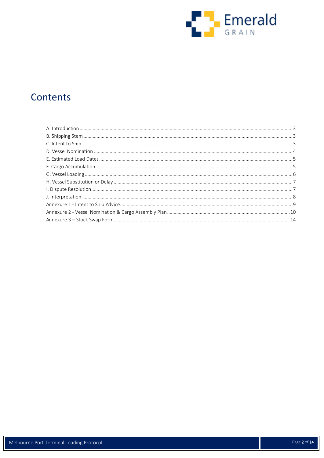

### Contents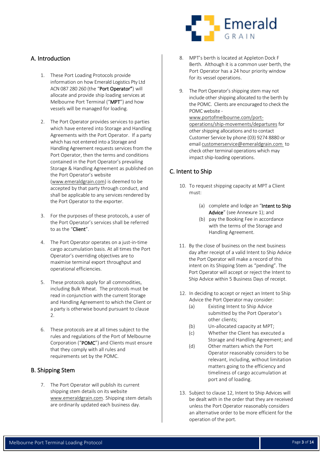

#### <span id="page-2-0"></span>A. Introduction

- 1. These Port Loading Protocols provide information on how Emerald Logistics Pty Ltd ACN 087 280 260 (the "Port Operator") will allocate and provide ship loading services at Melbourne Port Terminal ("MPT") and how vessels will be managed for loading.
- <span id="page-2-5"></span>2. The Port Operator provides services to parties which have entered into Storage and Handling Agreements with the Port Operator. If a party which has not entered into a Storage and Handling Agreement requests services from the Port Operator, then the terms and conditions contained in the Port Operator's prevailing Storage & Handling Agreement as published on the Port Operator's website (www.emeraldgrain.com) is deemed to be accepted by that party through conduct, and shall be applicable to any services rendered by the Port Operator to the exporter.
- 3. For the purposes of these protocols, a user of the Port Operator's services shall be referred to as the "Client".
- <span id="page-2-4"></span>4. The Port Operator operates on a just-in-time cargo accumulation basis. At all times the Port Operator's overriding objectives are to maximise terminal export throughput and operational efficiencies.
- 5. These protocols apply for all commodities, including Bulk Wheat. The protocols must be read in conjunction with the current Storage and Handling Agreement to which the Client or a party is otherwise bound pursuant to clause  $\mathcal{L}$
- 6. These protocols are at all times subject to the rules and regulations of the Port of Melbourne Corporation ("POMC") and Clients must ensure that they comply with all rules and requirements set by the POMC.

#### <span id="page-2-1"></span>B. Shipping Stem

7. The Port Operator will publish its current shipping stem details on its website [www.emeraldgrain.com.](http://www.emeraldgrain.com/) Shipping stem details are ordinarily updated each business day.

- 8. MPT's berth is located at Appleton Dock F Berth. Although it is a common user berth, the Port Operator has a 24 hour priority window for its vessel operations.
- 9. The Port Operator's shipping stem may not include other shipping allocated to the berth by the POMC. Clients are encouraged to check the POMC website -

[www.portofmelbourne.com/port](http://www.portofmelbourne.com/port-operations/ship-movements/departures)[operations/ship-movements/departures](http://www.portofmelbourne.com/port-operations/ship-movements/departures) for other shipping allocations and to contact Customer Service by phone (03) 9274 8880 or email [customerservice@emeraldgrain.com](mailto:customerservice@emeraldgrain.com) to check other terminal operations which may impact ship-loading operations.

#### <span id="page-2-2"></span>C. Intent to Ship

- 10. To request shipping capacity at MPT a Client must:
	- (a) complete and lodge an "Intent to Ship Advice" (see Annexure 1); and
	- (b) pay the Booking Fee in accordance with the terms of the Storage and Handling Agreement.
- 11. By the close of business on the next business day after receipt of a valid Intent to Ship Advice the Port Operator will make a record of this intent on its Shipping Stem as "pending". The Port Operator will accept or reject the Intent to Ship Advice within 5 Business Days of receipt.
- <span id="page-2-3"></span>12. In deciding to accept or reject an Intent to Ship Advice the Port Operator may consider:
	- (a) Existing Intent to Ship Advice submitted by the Port Operator's other clients;
	- (b) Un-allocated capacity at MPT;
	- (c) Whether the Client has executed a Storage and Handling Agreement; and
	- (d) Other matters which the Port Operator reasonably considers to be relevant, including, without limitation matters going to the efficiency and timeliness of cargo accumulation at port and of loading.
- 13. Subject to clause [12,](#page-2-3) Intent to Ship Advices will be dealt with in the order that they are received unless the Port Operator reasonably considers an alternative order to be more efficient for the operation of the port.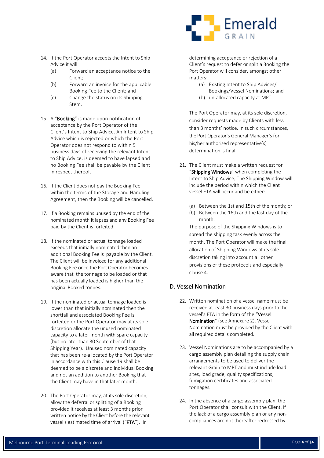- 14. If the Port Operator accepts the Intent to Ship Advice it will:
	- (a) Forward an acceptance notice to the Client;
	- (b) Forward an invoice for the applicable Booking Fee to the Client; and
	- (c) Change the status on its Shipping Stem.
- 15. A "Booking" is made upon notification of acceptance by the Port Operator of the Client's Intent to Ship Advice. An Intent to Ship Advice which is rejected or which the Port Operator does not respond to within 5 business days of receiving the relevant Intent to Ship Advice, is deemed to have lapsed and no Booking Fee shall be payable by the Client in respect thereof.
- 16. If the Client does not pay the Booking Fee within the terms of the Storage and Handling Agreement, then the Booking will be cancelled.
- 17. If a Booking remains unused by the end of the nominated month it lapses and any Booking Fee paid by the Client is forfeited.
- 18. If the nominated or actual tonnage loaded exceeds that initially nominated then an additional Booking Fee is payable by the Client. The Client will be invoiced for any additional Booking Fee once the Port Operator becomes aware that the tonnage to be loaded or that has been actually loaded is higher than the original Booked tonnes.
- 19. If the nominated or actual tonnage loaded is lower than that initially nominated then the shortfall and associated Booking Fee is forfeited or the Port Operator may at its sole discretion allocate the unused nominated capacity to a later month with spare capacity (but no later than 30 September of that Shipping Year). Unused nominated capacity that has been re-allocated by the Port Operator in accordance with this Clause 19 shall be deemed to be a discrete and individual Booking and not an addition to another Booking that the Client may have in that later month.
- 20. The Port Operator may, at its sole discretion, allow the deferral or splitting of a Booking provided it receives at least 3 months prior written notice by the Client before the relevant vessel's estimated time of arrival ("ETA"). In

# Emerald GRAIN

determining acceptance or rejection of a Client's request to defer or split a Booking the Port Operator will consider, amongst other matters:

- (a) Existing Intent to Ship Advices/ Bookings/Vessel Nominations; and
- (b) un-allocated capacity at MPT.

The Port Operator may, at its sole discretion, consider requests made by Clients with less than 3 months' notice. In such circumstances, the Port Operator's General Manager's (or his/her authorised representative's) determination is final.

- 21. The Client must make a written request for "Shipping Windows" when completing the Intent to Ship Advice. The Shipping Window will include the period within which the Client vessel ETA will occur and be either:
	- (a) Between the 1st and 15th of the month; or
	- (b) Between the 16th and the last day of the month.

The purpose of the Shipping Windows is to spread the shipping task evenly across the month. The Port Operator will make the final allocation of Shipping Windows at its sole discretion taking into account all other provisions of these protocols and especially clause [4.](#page-2-4)

#### <span id="page-3-0"></span>D. Vessel Nomination

- 22. Written nomination of a vessel name must be received at least 30 business days prior to the vessel's ETA in the form of the "Vessel Nomination" (see Annexure 2). Vessel Nomination must be provided by the Client with all required details completed.
- 23. Vessel Nominations are to be accompanied by a cargo assembly plan detailing the supply chain arrangements to be used to deliver the relevant Grain to MPT and must include load sites, load grade, quality specifications, fumigation certificates and associated tonnages.
- 24. In the absence of a cargo assembly plan, the Port Operator shall consult with the Client. If the lack of a cargo assembly plan or any noncompliances are not thereafter redressed by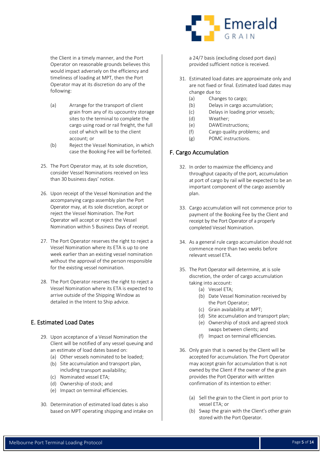the Client in a timely manner, and the Port Operator on reasonable grounds believes this would impact adversely on the efficiency and timeliness of loading at MPT, then the Port Operator may at its discretion do any of the following:

- (a) Arrange for the transport of client grain from any of its upcountry storage sites to the terminal to complete the cargo using road or rail freight, the full cost of which will be to the client account; or
- (b) Reject the Vessel Nomination, in which case the Booking Fee will be forfeited.
- 25. The Port Operator may, at its sole discretion, consider Vessel Nominations received on less than 30 business days' notice.
- 26. Upon receipt of the Vessel Nomination and the accompanying cargo assembly plan the Port Operator may, at its sole discretion, accept or reject the Vessel Nomination. The Port Operator will accept or reject the Vessel Nomination within 5 Business Days of receipt.
- 27. The Port Operator reserves the right to reject a Vessel Nomination where its ETA is up to one week earlier than an existing vessel nomination without the approval of the person responsible for the existing vessel nomination.
- 28. The Port Operator reserves the right to reject a Vessel Nomination where its ETA is expected to arrive outside of the Shipping Window as detailed in the Intent to Ship advice.

#### <span id="page-4-0"></span>E. Estimated Load Dates

- 29. Upon acceptance of a Vessel Nomination the Client will be notified of any vessel queuing and an estimate of load dates based on:
	- (a) Other vessels nominated to be loaded;
	- (b) Site accumulation and transport plan, including transport availability;
	- (c) Nominated vessel ETA;
	- (d) Ownership of stock; and
	- (e) Impact on terminal efficiencies.
- 30. Determination of estimated load dates is also based on MPT operating shipping and intake on



a 24/7 basis (excluding closed port days) provided sufficient notice is received.

- 31. Estimated load dates are approximate only and are not fixed or final. Estimated load dates may change due to:
	- (a) Changes to cargo;
	- (b) Delays in cargo accumulation;
	- (c) Delays in loading prior vessels;
	- (d) Weather;
	- (e) DAWEinstructions;
	- (f) Cargo quality problems; and
	- (g) POMC instructions.

#### <span id="page-4-1"></span>F. Cargo Accumulation

- 32. In order to maximize the efficiency and throughput capacity of the port, accumulation at port of cargo by rail will be expected to be an important component of the cargo assembly plan.
- 33. Cargo accumulation will not commence prior to payment of the Booking Fee by the Client and receipt by the Port Operator of a properly completed Vessel Nomination.
- 34. As a general rule cargo accumulation should not commence more than two weeks before relevant vessel ETA.
- 35. The Port Operator will determine, at is sole discretion, the order of cargo accumulation taking into account:
	- (a) Vessel ETA;
	- (b) Date Vessel Nomination received by the Port Operator;
	- (c) Grain availability at MPT;
	- (d) Site accumulation and transport plan;
	- (e) Ownership of stock and agreed stock swaps between clients; and
	- (f) Impact on terminal efficiencies.
- 36. Only grain that is owned by the Client will be accepted for accumulation. The Port Operator may accept grain for accumulation that is not owned by the Client if the owner of the grain provides the Port Operator with written confirmation of its intention to either:
	- (a) Sell the grain to the Client in port prior to vessel ETA; or
	- (b) Swap the grain with the Client's other grain stored with the Port Operator.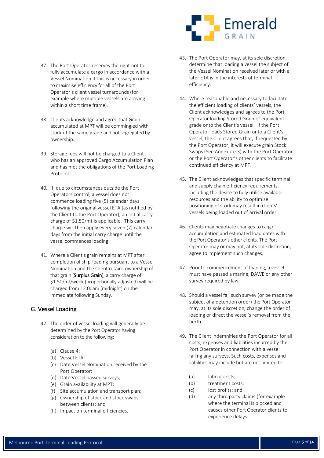- 37. The Port Operator reserves the right not to fully accumulate a cargo in accordance with a Vessel Nomination if this is necessary in order to maximise efficiency for all of the Port Operator's client vessel turnarounds (for example where multiple vessels are arriving within a short time frame).
- 38. Clients acknowledge and agree that Grain accumulated at MPT will be commingled with stock of the same grade and not segregated by ownership.
- 39. Storage fees will not be charged to a Client who has an approved Cargo Accumulation Plan and has met the obligations of the Port Loading Protocol.
- 40. If, due to circumstances outside the Port Operators control, a vessel does not commence loading five (5) calendar days following the original vessel ETA (as notified by the Client to the Port Operator), an initial carry charge of \$1.50/mt is applicable. This carry charge will then apply every seven (7) calendar days from the initial carry charge until the vessel commences loading.
- 41. Where a Client's grain remains at MPT after completion of ship-loading pursuant to a Vessel Nomination and the Client retains ownership of that grain (Surplus Grain), a carry charge of \$1.50/mt/week (proportionally adjusted) will be charged from 12.00am (midnight) on the immediate following Sunday.

#### <span id="page-5-0"></span>G. Vessel Loading

- 42. The order of vessel loading will generally be determined by the Port Operator having consideration to the following:
	- (a) Clause [4;](#page-2-4)
	- (b) Vessel ETA;
	- (c) Date Vessel Nomination received by the Port Operator;
	- (d) Date Vessel passed surveys;
	- (e) Grain availability at MPT;
	- (f) Site accumulation and transport plan;
	- (g) Ownership of stock and stock swaps between clients; and
	- (h) Impact on terminal efficiencies.



- 43. The Port Operator may, at its sole discretion, determine that loading a vessel the subject of the Vessel Nomination received later or with a later ETA is in the interests of terminal efficiency.
- 44. Where reasonable and necessary to facilitate the efficient loading of clients' vessels, the Client acknowledges and agrees to the Port Operator loading Stored Grain of equivalent grade onto the Client's vessel. If the Port Operator loads Stored Grain onto a Client's vessel, the Client agrees that, if requested by the Port Operator, it will execute grain Stock Swaps (See Annexure 3) with the Port Operator or the Port Operator's other clients to facilitate continued efficiency at MPT.
- 45. The Client acknowledges that specific terminal and supply chain efficiency requirements, including the desire to fully utilise available resources and the ability to optimise positioning of stock may result in clients' vessels being loaded out of arrival order.
- 46. Clients may negotiate changes to cargo accumulation and estimated load dates with the Port Operator's other clients. The Port Operator may or may not, at its sole discretion, agree to implement such changes.
- 47. Prior to commencement of loading, a vessel must have passed a marine, DAWE or any other survey required by law.
- 48. Should a vessel fail such survey (or be made the subject of a detention order) the Port Operator may, at its sole discretion, change the order of loading or direct the vessel's removal from the berth.
- 49. The Client indemnifies the Port Operator for all costs, expenses and liabilities incurred by the Port Operator in connection with a vessel failing any surveys. Such costs, expenses and liabilities may include but are not limited to:
	- (a) labour costs;
	- (b) treatment costs;
	- (c) lost profits; and
	- (d) any third party claims (for example where the terminal is blocked and causes other Port Operator clients to experience delays.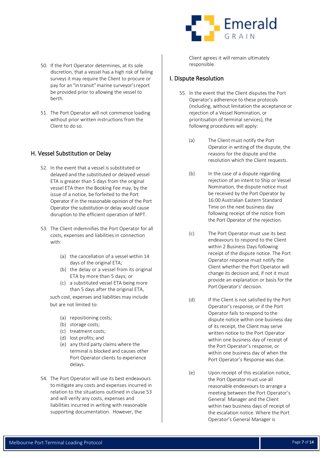- 50. If the Port Operator determines, at its sole discretion, that a vessel has a high risk of failing surveys it may require the Client to procure or pay for an "in transit" marine surveyor's report be provided prior to allowing the vessel to berth.
- 51. The Port Operator will not commence loading without prior written instructions from the Client to do so.

#### <span id="page-6-0"></span>H. Vessel Substitution or Delay

- 52. In the event that a vessel is substituted or delayed and the substituted or delayed vessel ETA is greater than 5 days from the original vessel ETA then the Booking Fee may, by the issue of a notice, be forfeited to the Port Operator if in the reasonable opinion of the Port Operator the substitution or delay would cause disruption to the efficient operation of MPT.
- <span id="page-6-2"></span>53. The Client indemnifies the Port Operator for all costs, expenses and liabilities in connection with:
	- (a) the cancellation of a vessel within 14 days of the original ETA;
	- (b) the delay or a vessel from its original ETA by more than 5 days; or
	- (c) a substituted vessel ETA being more than 5 days after the original ETA,

such cost, expenses and liabilities may include but are not limited to:

- (a) repositioning costs;
- (b) storage costs;
- (c) treatment costs;
- (d) lost profits; and
- (e) any third party claims where the terminal is blocked and causes other Port Operator clients to experience delays.
- 54. The Port Operator will use its best endeavours to mitigate any costs and expenses incurred in relation to the situations outlined in clause [53](#page-6-2) and will verify any costs, expenses and liabilities incurred in writing with reasonable supporting documentation. However, the



Client agrees it will remain ultimately responsible.

#### <span id="page-6-1"></span>I. Dispute Resolution

- 55. In the event that the Client disputes the Port Operator's adherence to these protocols (including, without limitation the acceptance or rejection of a Vessel Nomination, or prioritisation of terminal services), the following procedures will apply:
	- (a) The Client must notify the Port Operator in writing of the dispute, the reasons for the dispute and the resolution which the Client requests.
	- (b) In the case of a dispute regarding rejection of an intent to Ship or Vessel Nomination, the dispute notice must be received by the Port Operator by 16:00 Australian Eastern Standard Time on the next business day following receipt of the notice from the Port Operator of the rejection.
	- (c) The Port Operator must use its best endeavours to respond to the Client within 2 Business Days following receipt of the dispute notice. The Port Operator response must notify the Client whether the Port Operator will change its decision and, if not it must provide an explanation or basis for the Port Operator's' decision.
	- (d) If the Client is not satisfied by the Port Operator's response, or if the Port Operator fails to respond to the dispute notice within one business day of its receipt, the Client may serve written notice to the Port Operator within one business day of receipt of the Port Operator's response, or within one business day of when the Port Operator's Response was due.
	- (e) Upon receipt of this escalation notice, the Port Operator must use all reasonable endeavours to arrange a meeting between the Port Operator's General Manager and the Client within two business days of receipt of the escalation notice. Where the Port Operator's General Manager is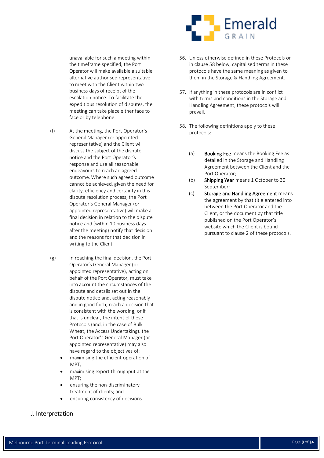unavailable for such a meeting within the timeframe specified, the Port Operator will make available a suitable alternative authorised representative to meet with the Client within two business days of receipt of the escalation notice. To facilitate the expeditious resolution of disputes, the meeting can take place either face to face or by telephone.

- (f) At the meeting, the Port Operator's General Manager (or appointed representative) and the Client will discuss the subject of the dispute notice and the Port Operator's response and use all reasonable endeavours to reach an agreed outcome. Where such agreed outcome cannot be achieved, given the need for clarity, efficiency and certainty in this dispute resolution process, the Port Operator's General Manager (or appointed representative) will make a final decision in relation to the dispute notice and (within 10 business days after the meeting) notify that decision and the reasons for that decision in writing to the Client.
- (g) In reaching the final decision, the Port Operator's General Manager (or appointed representative), acting on behalf of the Port Operator, must take into account the circumstances of the dispute and details set out in the dispute notice and, acting reasonably and in good faith, reach a decision that is consistent with the wording, or if that is unclear, the intent of these Protocols (and, in the case of Bulk Wheat, the Access Undertaking). the Port Operator's General Manager (or appointed representative) may also have regard to the objectives of:
	- maximising the efficient operation of MPT;
	- maximising export throughput at the MPT;
	- ensuring the non-discriminatory treatment of clients; and
	- ensuring consistency of decisions.

#### <span id="page-7-0"></span>J. Interpretation



- 56. Unless otherwise defined in these Protocols or in clause [58](#page-7-1) below, capitalised terms in these protocols have the same meaning as given to them in the Storage & Handling Agreement.
- 57. If anything in these protocols are in conflict with terms and conditions in the Storage and Handling Agreement, these protocols will prevail.
- <span id="page-7-1"></span>58. The following definitions apply to these protocols:
	- (a) **Booking Fee** means the Booking Fee as detailed in the Storage and Handling Agreement between the Client and the Port Operator;
	- (b) Shipping Year means 1 October to 30 September;
	- (c) Storage and Handling Agreement means the agreement by that title entered into between the Port Operator and the Client, or the document by that title published on the Port Operator's website which the Client is bound pursuant to clause [2](#page-2-5) of these protocols.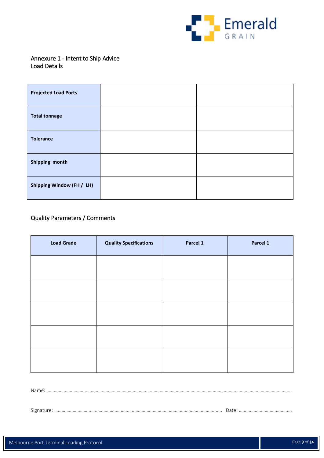

#### <span id="page-8-0"></span>Annexure 1 - Intent to Ship Advice Load Details

| <b>Projected Load Ports</b> |  |
|-----------------------------|--|
| <b>Total tonnage</b>        |  |
| <b>Tolerance</b>            |  |
| Shipping month              |  |
| Shipping Window (FH / LH)   |  |

#### Quality Parameters / Comments

| <b>Load Grade</b> | <b>Quality Specifications</b> | Parcel 1 | Parcel 1 |
|-------------------|-------------------------------|----------|----------|
|                   |                               |          |          |
|                   |                               |          |          |
|                   |                               |          |          |
|                   |                               |          |          |
|                   |                               |          |          |
|                   |                               |          |          |

Name: …………………………………………………………………………………………………………………………………………………………………………….…

Signature: …………………………………………………………………………………………………………………..….. Date: …………………………………….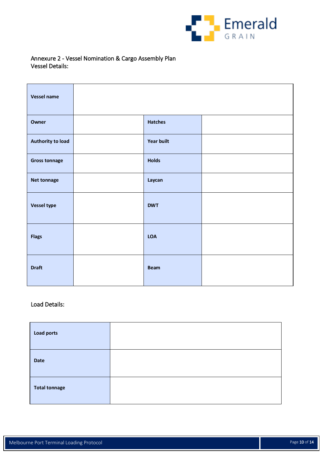

#### <span id="page-9-0"></span>Annexure 2 - Vessel Nomination & Cargo Assembly Plan Vessel Details:

| Vessel name              |                   |  |
|--------------------------|-------------------|--|
| Owner                    | <b>Hatches</b>    |  |
| <b>Authority to load</b> | <b>Year built</b> |  |
| <b>Gross tonnage</b>     | <b>Holds</b>      |  |
| <b>Net tonnage</b>       | Laycan            |  |
| <b>Vessel type</b>       | <b>DWT</b>        |  |
| <b>Flags</b>             | <b>LOA</b>        |  |
| <b>Draft</b>             | <b>Beam</b>       |  |

#### Load Details:

| <b>Load ports</b>    |  |
|----------------------|--|
| <b>Date</b>          |  |
| <b>Total tonnage</b> |  |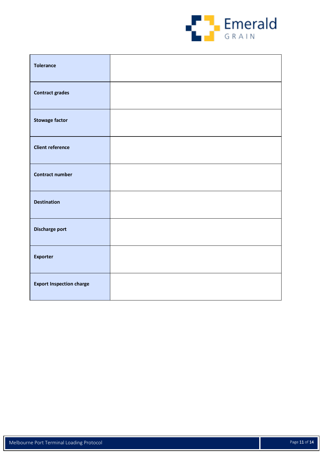

| <b>Tolerance</b>                |  |
|---------------------------------|--|
| <b>Contract grades</b>          |  |
| <b>Stowage factor</b>           |  |
| <b>Client reference</b>         |  |
| <b>Contract number</b>          |  |
| <b>Destination</b>              |  |
| Discharge port                  |  |
| <b>Exporter</b>                 |  |
| <b>Export Inspection charge</b> |  |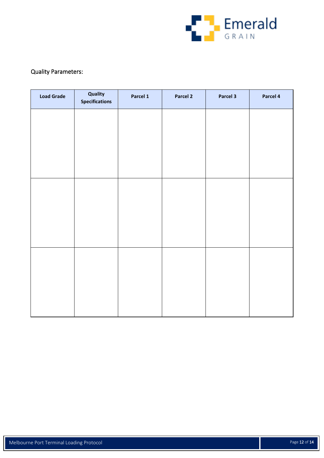

#### Quality Parameters:

| <b>Load Grade</b> | Quality<br><b>Specifications</b> | Parcel 1 | Parcel 2 | Parcel 3 | Parcel 4 |
|-------------------|----------------------------------|----------|----------|----------|----------|
|                   |                                  |          |          |          |          |
|                   |                                  |          |          |          |          |
|                   |                                  |          |          |          |          |
|                   |                                  |          |          |          |          |
|                   |                                  |          |          |          |          |
|                   |                                  |          |          |          |          |
|                   |                                  |          |          |          |          |
|                   |                                  |          |          |          |          |
|                   |                                  |          |          |          |          |
|                   |                                  |          |          |          |          |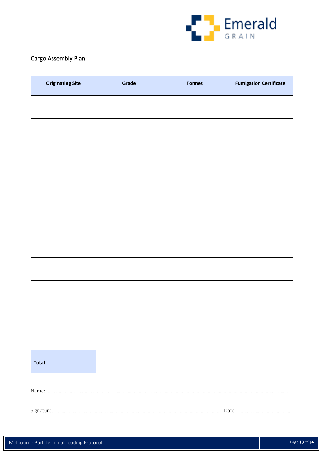

#### Cargo Assembly Plan:

| <b>Originating Site</b> | Grade | <b>Tonnes</b> | <b>Fumigation Certificate</b> |
|-------------------------|-------|---------------|-------------------------------|
|                         |       |               |                               |
|                         |       |               |                               |
|                         |       |               |                               |
|                         |       |               |                               |
|                         |       |               |                               |
|                         |       |               |                               |
|                         |       |               |                               |
|                         |       |               |                               |
|                         |       |               |                               |
|                         |       |               |                               |
|                         |       |               |                               |
|                         |       |               |                               |
| <b>Total</b>            |       |               |                               |

Name: ……………………………………………………………………………………………………………………………………………………………….………………

Signature: ……………………………………………………………………………………………………………………… Date: ……………………….……………